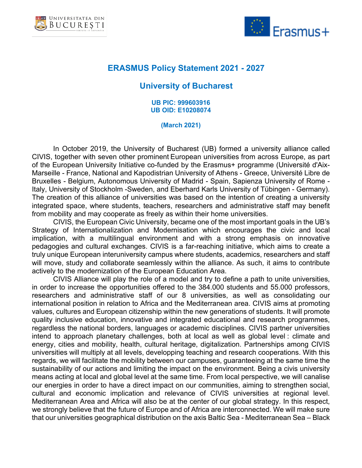



## **ERASMUS Policy Statement 2021 - 2027**

## **University of Bucharest**

**UB PIC: 999603916 UB OID: E10208074**

## **(March 2021)**

In October 2019, the University of Bucharest (UB) formed a university alliance called CIVIS, together with seven other prominent European universities from across Europe, as part of the European University Initiative co-funded by the Erasmus+ programme (Université d'Aix-Marseille - France, National and Kapodistrian University of Athens - Greece, Université Libre de Bruxelles - Belgium, Autonomous University of Madrid - Spain, Sapienza University of Rome - Italy, University of Stockholm -Sweden, and Eberhard Karls University of Tübingen - Germany). The creation of this alliance of universities was based on the intention of creating a university integrated space, where students, teachers, researchers and administrative staff may benefit from mobility and may cooperate as freely as within their home universities.

CIVIS, the European Civic University, became one of the most important goals in the UB's Strategy of Internationalization and Modernisation which encourages the civic and local implication, with a multilingual environment and with a strong emphasis on innovative pedagogies and cultural exchanges. CIVIS is a far-reaching initiative, which aims to create a truly unique European interuniversity campus where students, academics, researchers and staff will move, study and collaborate seamlessly within the alliance. As such, it aims to contribute actively to the modernization of the European Education Area.

CIVIS Alliance will play the role of a model and try to define a path to unite universities, in order to increase the opportunities offered to the 384.000 students and 55.000 professors, researchers and administrative staff of our 8 universities, as well as consolidating our international position in relation to Africa and the Mediterranean area. CIVIS aims at promoting values, cultures and European citizenship within the new generations of students. It will promote quality inclusive education, innovative and integrated educational and research programmes, regardless the national borders, languages or academic disciplines. CIVIS partner universities intend to approach planetary challenges, both at local as well as global level : climate and energy, cities and mobility, health, cultural heritage, digitalization. Partnerships among CIVIS universities will multiply at all levels, developping teaching and research cooperations. With this regards, we will facilitate the mobility between our campuses, guaranteeing at the same time the sustainability of our actions and limiting the impact on the environment. Being a civis university means acting at local and global level at the same time. From local perspective, we will canalise our energies in order to have a direct impact on our communities, aiming to strengthen social, cultural and economic implication and relevance of CIVIS universities at regional level. Mediterranean Area and Africa will also be at the center of our global strategy. In this respect, we strongly believe that the future of Europe and of Africa are interconnected. We will make sure that our universities geographical distribution on the axis Baltic Sea - Mediterranean Sea – Black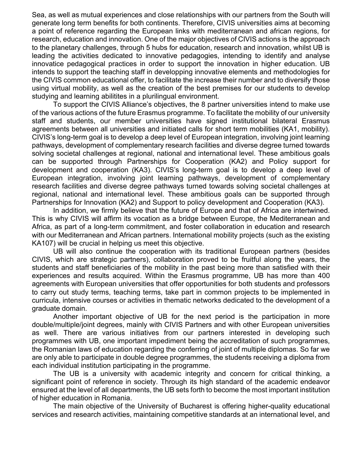Sea, as well as mutual experiences and close relationships with our partners from the South will generate long term benefits for both continents. Therefore, CIVIS universities aims at becoming a point of reference regarding the European links with mediterranean and african regions, for research, education and innovation. One of the major objectives of CIVIS actions is the approach to the planetary challenges, through 5 hubs for education, research and innovation, whilst UB is leading the activities dedicated to innovative pedagogies, intending to identify and analyse innovatice pedagogical practices in order to support the innovation in higher education. UB intends to support the teaching staff in developping innovative elements and methodologies for the CIVIS common educational offer, to facilitate the increase their number and to diversify those using virtual mobility, as well as the creation of the best premises for our students to develop studying and learning abilitites in a plurilingual environment.

To support the CIVIS Alliance's objectives, the 8 partner universities intend to make use of the various actions of the future Erasmus programme. To facilitate the mobility of our university staff and students, our member universities have signed institutional bilateral Erasmus agreements between all universities and initiated calls for short term mobilities (KA1, mobility). CIVIS's long-term goal is to develop a deep level of European integration, involving joint learning pathways, development of complementary research facilities and diverse degree turned towards solving societal challenges at regional, national and international level. These ambitious goals can be supported through Partnerships for Cooperation (KA2) and Policy support for development and cooperation (KA3). CIVIS's long-term goal is to develop a deep level of European integration, involving joint learning pathways, development of complementary research facilities and diverse degree pathways turned towards solving societal challenges at regional, national and international level. These ambitious goals can be supported through Partnerships for Innovation (KA2) and Support to policy development and Cooperation (KA3).

In addition, we firmly believe that the future of Europe and that of Africa are intertwined. This is why CIVIS will affirm its vocation as a bridge between Europe, the Mediterranean and Africa, as part of a long-term commitment, and foster collaboration in education and research with our Mediterranean and African partners. International mobility projects (such as the existing KA107) will be crucial in helping us meet this objective.

UB will also continue the cooperation with its traditional European partners (besides CIVIS, which are strategic partners), collaboration proved to be fruitful along the years, the students and staff beneficiaries of the mobility in the past being more than satisfied with their experiences and results acquired. Within the Erasmus programme, UB has more than 400 agreements with European universities that offer opportunities for both students and professors to carry out study terms, teaching terms, take part in common projects to be implemented in curricula, intensive courses or activities in thematic networks dedicated to the development of a graduate domain.

Another important objective of UB for the next period is the participation in more double/multiple/joint degrees, mainly with CIVIS Partners and with other European universities as well. There are various initiatives from our partners interested in developing such programmes with UB, one important impediment being the accreditation of such programmes, the Romanian laws of education regarding the conferring of joint of multiple diplomas. So far we are only able to participate in double degree programmes, the students receiving a diploma from each individual institution participating in the programme.

The UB is a university with academic integrity and concern for critical thinking, a significant point of reference in society. Through its high standard of the academic endeavor ensured at the level of all departments, the UB sets forth to become the most important institution of higher education in Romania.

The main objective of the University of Bucharest is offering higher-quality educational services and research activities, maintaining competitive standards at an international level, and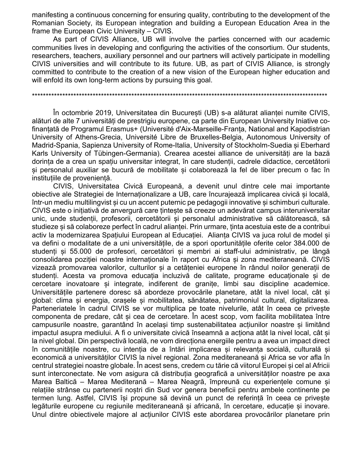manifesting a continuous concerning for ensuring quality, contributing to the development of the Romanian Society, its European integration and building a European Education Area in the frame the European Civic University – CIVIS.

As part of CIVIS Alliance, UB will involve the parties concerned with our academic communities lives in developing and configuring the activities of the consortium. Our students, researchers, teachers, auxiliary personnel and our partners will actively participate in modelling CIVIS universities and will contribute to its future. UB, as part of CIVIS Alliance, is strongly committed to contribute to the creation of a new vision of the European higher education and will enfold its own long-term actions by pursuing this goal.

În octombrie 2019, Universitatea din Bucuresti (UB) s-a alăturat aliantei numite CIVIS, alături de alte 7 universităti de prestrigiu europene, ca parte din European University Iniative cofinanțată de Programul Erasmus+ (Université d'Aix-Marseille-Franța, National and Kapodistrian University of Athens-Grecia, Université Libre de Bruxelles-Belgia, Autonomous University of Madrid-Spania, Sapienza University of Rome-Italia, University of Stockholm-Suedia si Eberhard Karls University of Tübingen-Germania). Crearea acestei alliance de universităti are la bază dorinta de a crea un spatiu universitar integrat, în care studentii, cadrele didactice, cercetătorii si personalul auxiliar se bucură de mobilitate si colaborează la fel de liber precum o fac în institutiile de provenientă.

CIVIS, Universitatea Civică Europeană, a devenit unul dintre cele mai importante obiective ale Strategiei de Internationalizare a UB, care încurajează implicarea civică și locală, într-un mediu multilingvist și cu un accent puternic pe pedagogii innovative și schimburi culturale. CIVIS este o inițiativă de anvergură care ținteste să creeze un adevărat campus interuniversitar unic, unde studentii, profesorii, cercetătorii și personalul administrative să călătorească, să studieze și să colaboreze perfect în cadrul alianței. Prin urmare, ținta acestuia este de a contribui activ la modernizarea Spatiului European al Educatiei. Alianta CIVIS va iuca rolul de model si va defini o modalitate de a uni universitățile, de a spori oportunitățile oferite celor 384.000 de studenți și 55.000 de profesori, cercetători și membri ai staff-ului administrativ, pe lângă consolidarea poziției noastre internaționale în raport cu Africa și zona mediteraneană. CIVIS vizează promovarea valorilor, culturilor și a cetățeniei europene în rândul noilor generații de studenti. Acesta va promova educatia incluzivă de calitate, programe educationale si de cercetare inovatoare și integrate, indiferent de granite, limbi sau discipline academice. Universitățile partenere doresc să abordeze provocările planetare, atât la nivel local, cât și global: clima si energia, orasele si mobilitatea, sănătatea, patrimoniul cultural, digitalizarea. Parteneriatele în cadrul CIVIS se vor multiplica pe toate nivelurile, atât în ceea ce priveste componenta de predare, cât si cea de cercetare. În acest scop, vom facilita mobilitatea între campusurile noastre, garantând în același timp sustenabilitatea acțiunilor noastre și limitând impactul asupra mediului. A fi o universitate civică înseamnă a acționa atât la nivel local, cât și la nivel global. Din perspectivă locală, ne vom directiona energiile pentru a avea un impact direct în comunitățile noastre, cu intenția de a întări implicarea și relevanța socială, culturală și economică a universitătilor CIVIS la nivel regional. Zona mediteraneană și Africa se vor afla în centrul strategiei noastre globale. În acest sens, credem cu tărie că viitorul Europei și cel al Africii sunt interconectate. Ne vom asigura că distribuția geografică a universităților noastre pe axa Marea Baltică – Marea Mediterană – Marea Neagră, împreună cu experientele comune și relațiile strânse cu partenerii noștri din Sud vor genera beneficii pentru ambele continente pe termen lung. Astfel, CIVIS îsi propune să devină un punct de referintă în ceea ce priveste legăturile europene cu regiunile mediteraneană și africană, în cercetare, educație și inovare. Unul dintre obiectivele majore al actiunilor CIVIS este abordarea provocărilor planetare prin